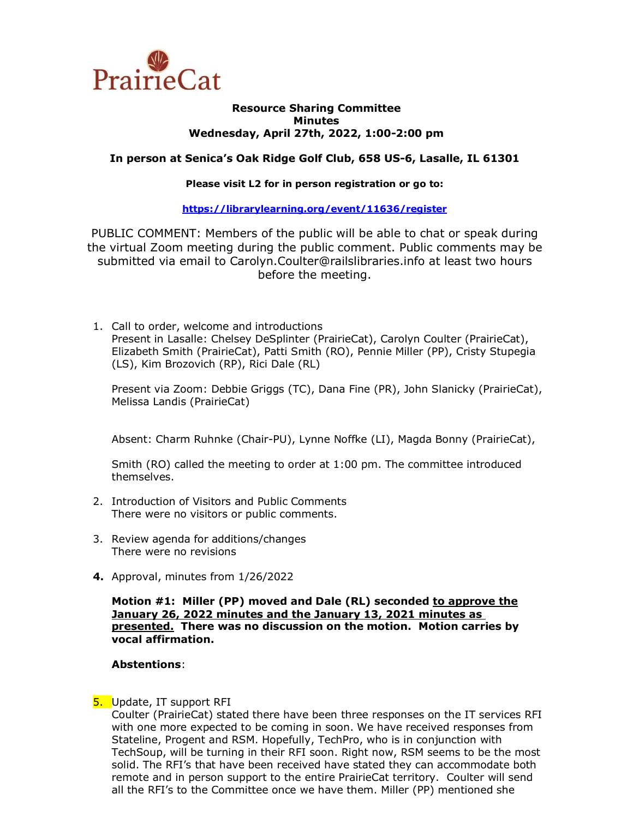

#### **Resource Sharing Committee Minutes Wednesday, April 27th, 2022, 1:00-2:00 pm**

# **In person at Senica's Oak Ridge Golf Club, 658 US-6, Lasalle, IL 61301**

#### **Please visit L2 for in person registration or go to:**

### **<https://librarylearning.org/event/11636/register>**

PUBLIC COMMENT: Members of the public will be able to chat or speak during the virtual Zoom meeting during the public comment. Public comments may be submitted via email to Carolyn.Coulter@railslibraries.info at least two hours before the meeting.

1. Call to order, welcome and introductions Present in Lasalle: Chelsey DeSplinter (PrairieCat), Carolyn Coulter (PrairieCat), Elizabeth Smith (PrairieCat), Patti Smith (RO), Pennie Miller (PP), Cristy Stupegia (LS), Kim Brozovich (RP), Rici Dale (RL)

Present via Zoom: Debbie Griggs (TC), Dana Fine (PR), John Slanicky (PrairieCat), Melissa Landis (PrairieCat)

Absent: Charm Ruhnke (Chair-PU), Lynne Noffke (LI), Magda Bonny (PrairieCat),

Smith (RO) called the meeting to order at 1:00 pm. The committee introduced themselves.

- 2. Introduction of Visitors and Public Comments There were no visitors or public comments.
- 3. Review agenda for additions/changes There were no revisions
- **4.** Approval, minutes from 1/26/2022

**Motion #1: Miller (PP) moved and Dale (RL) seconded to approve the January 26, 2022 minutes and the January 13, 2021 minutes as presented. There was no discussion on the motion. Motion carries by vocal affirmation.** 

### **Abstentions**:

### **5.** Update, IT support RFI

Coulter (PrairieCat) stated there have been three responses on the IT services RFI with one more expected to be coming in soon. We have received responses from Stateline, Progent and RSM. Hopefully, TechPro, who is in conjunction with TechSoup, will be turning in their RFI soon. Right now, RSM seems to be the most solid. The RFI's that have been received have stated they can accommodate both remote and in person support to the entire PrairieCat territory. Coulter will send all the RFI's to the Committee once we have them. Miller (PP) mentioned she